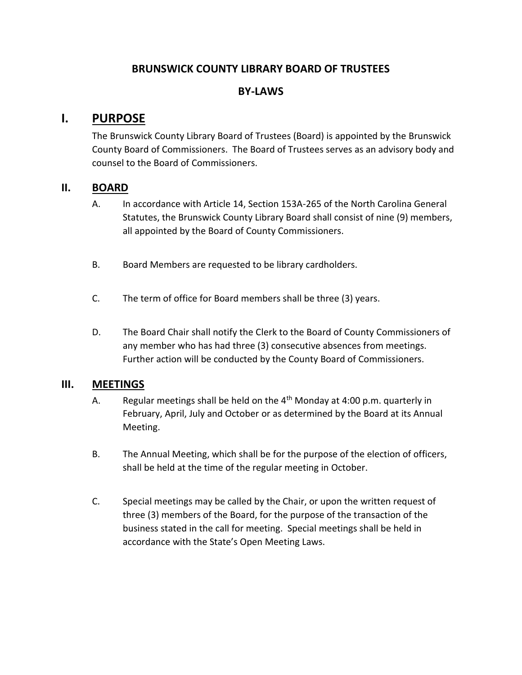## **BRUNSWICK COUNTY LIBRARY BOARD OF TRUSTEES**

### **BY-LAWS**

# **I. PURPOSE**

The Brunswick County Library Board of Trustees (Board) is appointed by the Brunswick County Board of Commissioners. The Board of Trustees serves as an advisory body and counsel to the Board of Commissioners.

#### **II. BOARD**

- A. In accordance with Article 14, Section 153A-265 of the North Carolina General Statutes, the Brunswick County Library Board shall consist of nine (9) members, all appointed by the Board of County Commissioners.
- B. Board Members are requested to be library cardholders.
- C. The term of office for Board members shall be three (3) years.
- D. The Board Chair shall notify the Clerk to the Board of County Commissioners of any member who has had three (3) consecutive absences from meetings. Further action will be conducted by the County Board of Commissioners.

#### **III. MEETINGS**

- A. Regular meetings shall be held on the  $4<sup>th</sup>$  Monday at 4:00 p.m. quarterly in February, April, July and October or as determined by the Board at its Annual Meeting.
- B. The Annual Meeting, which shall be for the purpose of the election of officers, shall be held at the time of the regular meeting in October.
- C. Special meetings may be called by the Chair, or upon the written request of three (3) members of the Board, for the purpose of the transaction of the business stated in the call for meeting. Special meetings shall be held in accordance with the State's Open Meeting Laws.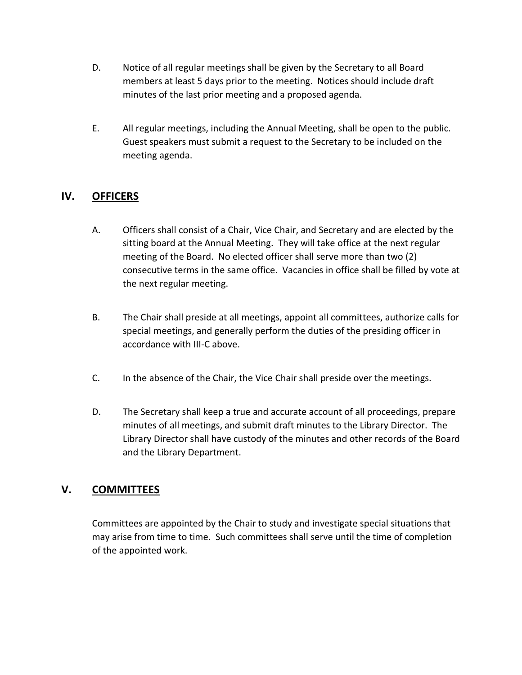- D. Notice of all regular meetings shall be given by the Secretary to all Board members at least 5 days prior to the meeting. Notices should include draft minutes of the last prior meeting and a proposed agenda.
- E. All regular meetings, including the Annual Meeting, shall be open to the public. Guest speakers must submit a request to the Secretary to be included on the meeting agenda.

# **IV. OFFICERS**

- A. Officers shall consist of a Chair, Vice Chair, and Secretary and are elected by the sitting board at the Annual Meeting. They will take office at the next regular meeting of the Board. No elected officer shall serve more than two (2) consecutive terms in the same office. Vacancies in office shall be filled by vote at the next regular meeting.
- B. The Chair shall preside at all meetings, appoint all committees, authorize calls for special meetings, and generally perform the duties of the presiding officer in accordance with III-C above.
- C. In the absence of the Chair, the Vice Chair shall preside over the meetings.
- D. The Secretary shall keep a true and accurate account of all proceedings, prepare minutes of all meetings, and submit draft minutes to the Library Director. The Library Director shall have custody of the minutes and other records of the Board and the Library Department.

# **V. COMMITTEES**

Committees are appointed by the Chair to study and investigate special situations that may arise from time to time. Such committees shall serve until the time of completion of the appointed work.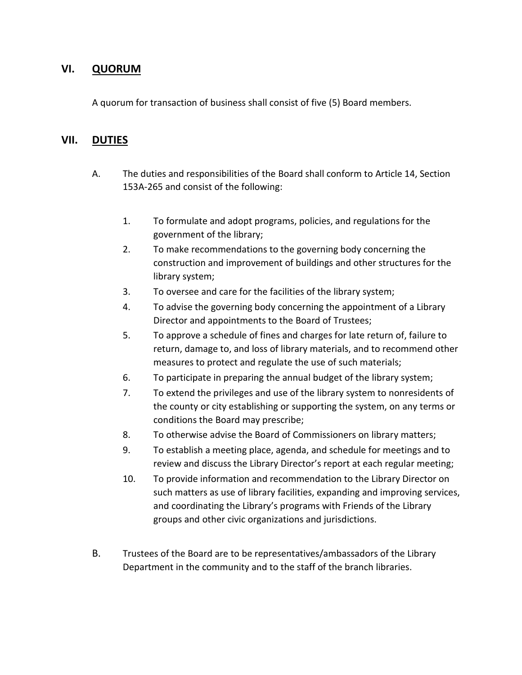## **VI. QUORUM**

A quorum for transaction of business shall consist of five (5) Board members.

#### **VII. DUTIES**

- A. The duties and responsibilities of the Board shall conform to Article 14, Section 153A-265 and consist of the following:
	- 1. To formulate and adopt programs, policies, and regulations for the government of the library;
	- 2. To make recommendations to the governing body concerning the construction and improvement of buildings and other structures for the library system;
	- 3. To oversee and care for the facilities of the library system;
	- 4. To advise the governing body concerning the appointment of a Library Director and appointments to the Board of Trustees;
	- 5. To approve a schedule of fines and charges for late return of, failure to return, damage to, and loss of library materials, and to recommend other measures to protect and regulate the use of such materials;
	- 6. To participate in preparing the annual budget of the library system;
	- 7. To extend the privileges and use of the library system to nonresidents of the county or city establishing or supporting the system, on any terms or conditions the Board may prescribe;
	- 8. To otherwise advise the Board of Commissioners on library matters;
	- 9. To establish a meeting place, agenda, and schedule for meetings and to review and discuss the Library Director's report at each regular meeting;
	- 10. To provide information and recommendation to the Library Director on such matters as use of library facilities, expanding and improving services, and coordinating the Library's programs with Friends of the Library groups and other civic organizations and jurisdictions.
- B. Trustees of the Board are to be representatives/ambassadors of the Library Department in the community and to the staff of the branch libraries.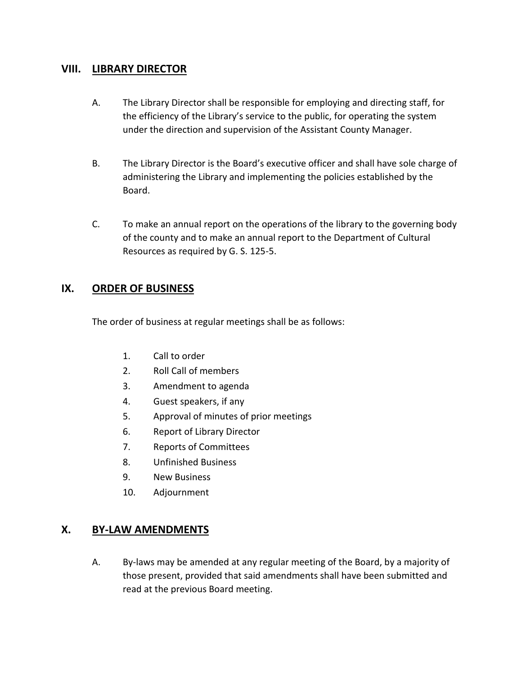#### **VIII. LIBRARY DIRECTOR**

- A. The Library Director shall be responsible for employing and directing staff, for the efficiency of the Library's service to the public, for operating the system under the direction and supervision of the Assistant County Manager.
- B. The Library Director is the Board's executive officer and shall have sole charge of administering the Library and implementing the policies established by the Board.
- C. To make an annual report on the operations of the library to the governing body of the county and to make an annual report to the Department of Cultural Resources as required by G. S. 125-5.

## **IX. ORDER OF BUSINESS**

The order of business at regular meetings shall be as follows:

- 1. Call to order
- 2. Roll Call of members
- 3. Amendment to agenda
- 4. Guest speakers, if any
- 5. Approval of minutes of prior meetings
- 6. Report of Library Director
- 7. Reports of Committees
- 8. Unfinished Business
- 9. New Business
- 10. Adjournment

## **X. BY-LAW AMENDMENTS**

A. By-laws may be amended at any regular meeting of the Board, by a majority of those present, provided that said amendments shall have been submitted and read at the previous Board meeting.